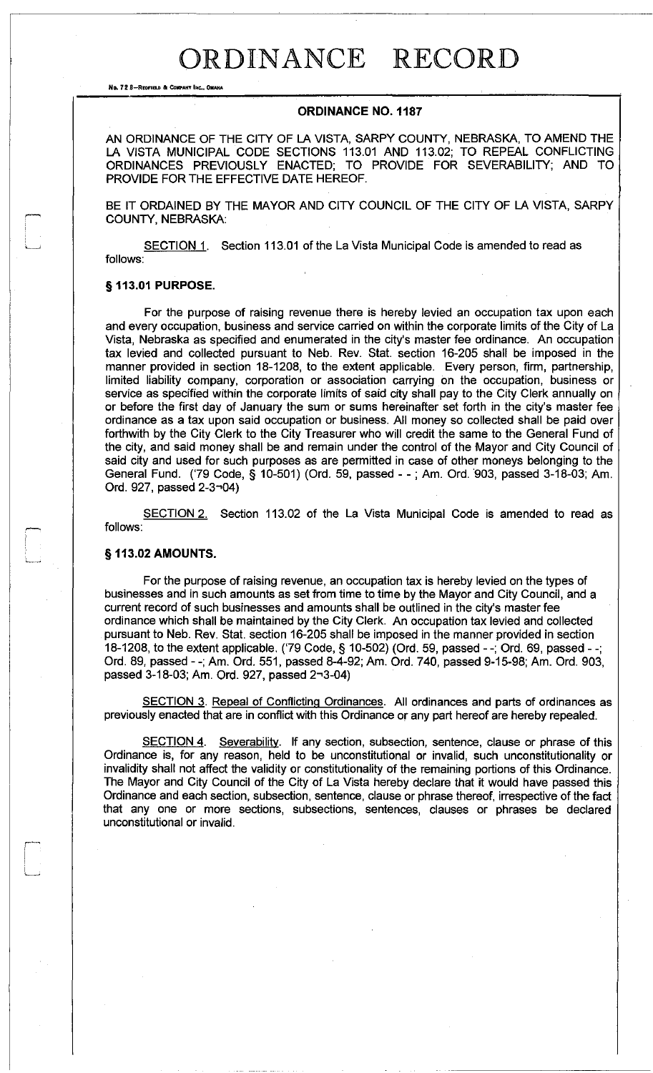# ORDINANCE RECORD

**No. 72** 8-RrtlFIELD **011: COltI'ANT** INc... 0IlAHA

### ORDINANCE NO. 1187

AN ORDINANCE OF THE CITY OF LA VISTA, SARPY COUNTY, NEBRASKA, TO AMEND THE LA VISTA MUNICIPAL CODE SECTIONS 113.01 AND 113.02; TO REPEAL CONFLICTING ORDINANCES PREVIOUSLY ENACTED; TO PROVIDE FOR SEVERABILITY; AND TO PROVIDE FOR THE EFFECTIVE DATE HEREOF.

BE IT ORDAINED BY THE MAYOR AND CITY COUNCIL OF THE CITY OF LA VISTA, SARPY COUNTY, NEBRASKA:

SECTION 1. Section 113.01 of the La Vista Municipal Code is amended to read as follows:

#### § 113.01 PURPOSE.

For the purpose of raising revenue there is hereby levied an occupation tax upon each and every occupation, business and service carried on within the corporate limits of the City of La Vista, Nebraska as specified and enumerated in the city's master fee ordinance. An occupation tax levied and collected pursuant to Neb. Rev. Stat. section 16-205 shall be imposed in the manner provided in section 18-1208, to the extent applicable. Every person, firm, partnership, limited liability company, corporation or association carrying on the occupation, business or service as specified within the corporate limits of said city shall pay to the City Clerk annually on or before the first day of January the sum or sums hereinafter set forth in the city's master fee ordinance as a tax upon said occupation or business. All money so collected shall be paid over forthwith by the City Clerk to the City Treasurer who will credit the same to the General Fund of the city, and said money shall be and remain under the control of the Mayor and City Council of said city and used for such purposes as are permitted in case of other moneys belonging to the General Fund. ('79 Code, § 10-501) (Ord. 59, passed - -; Am. Ord. 903, passed 3-18-03; Am. Ord. 927, passed 2-3-04)

SECTION 2. Section 113.02 of the La Vista Municipal Code is amended to read as follows:

#### § 113.02 AMOUNTS.

For the purpose of raising revenue, an occupation tax is hereby levied on the types of businesses and in such amounts as set from time to time by the Mayor and City Council, and a current record of such businesses and amounts shall be outlined in the city's master fee ordinance which shall be maintained by the City Clerk. An occupation tax levied and collected pursuant to Neb. Rev. Stat. section 16-205 shall be imposed in the manner provided in section 18-1208, to the extent applicable. ('79 Code, § 10-502) (Ord. 59, passed - -; Ord. 69, passed --; Ord. 89, passed - -; Am. Ord. 551, passed 8-4-92; Am. Ord. 740, passed 9-15-98; Am. Ord. 903, passed 3-18-03; Am. Ord. 927, passed 2-3-04)

SECTION 3. Repeal of Conflicting Ordinances. All ordinances and parts of ordinances as previously enacted that are in conflict with this Ordinance or any part hereof are hereby repealed.

SECTION 4. Severability. If any section, subsection, sentence, clause or phrase of this Ordinance is, for any reason, held to be unconstitutional or invalid, such unconstitutionality or invalidity shall not affect the validity or constitutionality of the remaining portions of this Ordinance. The Mayor and City Council of the City of La Vista hereby declare that it would have passed this Ordinance and each section, subsection, sentence, clause or phrase thereof, irrespective of the fact that any one or more sections, subsections, sentences, clauses or phrases be declared unconstitutional or invalid.